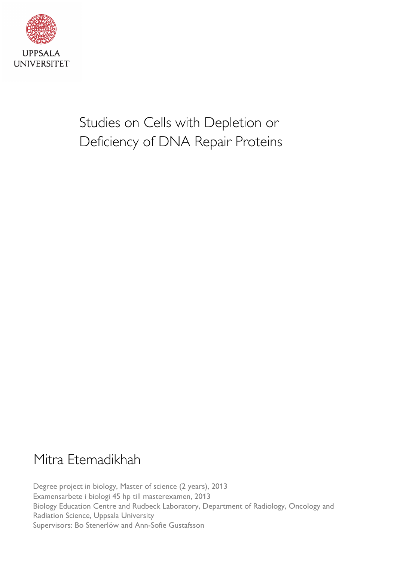

Studies on Cells with Depletion or Deficiency of DNA Repair Proteins

# Mitra Etemadikhah

Degree project in biology, Master of science (2 years), 2013 Examensarbete i biologi 45 hp till masterexamen, 2013 Biology Education Centre and Rudbeck Laboratory, Department of Radiology, Oncology and Radiation Science, Uppsala University Supervisors: Bo Stenerlöw and Ann-Sofie Gustafsson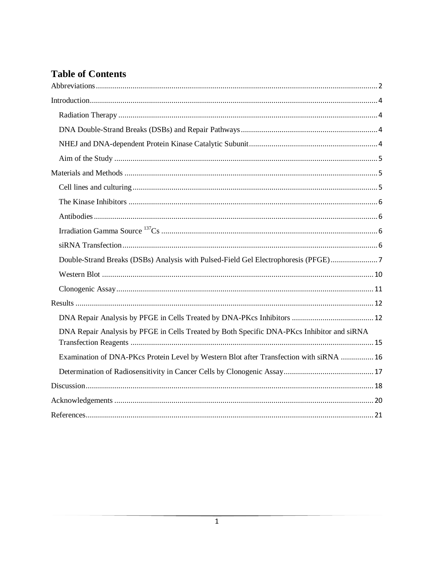# **Table of Contents**

<span id="page-1-0"></span>

| Double-Strand Breaks (DSBs) Analysis with Pulsed-Field Gel Electrophoresis (PFGE)7         |
|--------------------------------------------------------------------------------------------|
|                                                                                            |
|                                                                                            |
|                                                                                            |
|                                                                                            |
| DNA Repair Analysis by PFGE in Cells Treated by Both Specific DNA-PKcs Inhibitor and siRNA |
| Examination of DNA-PKcs Protein Level by Western Blot after Transfection with siRNA  16    |
|                                                                                            |
|                                                                                            |
|                                                                                            |
|                                                                                            |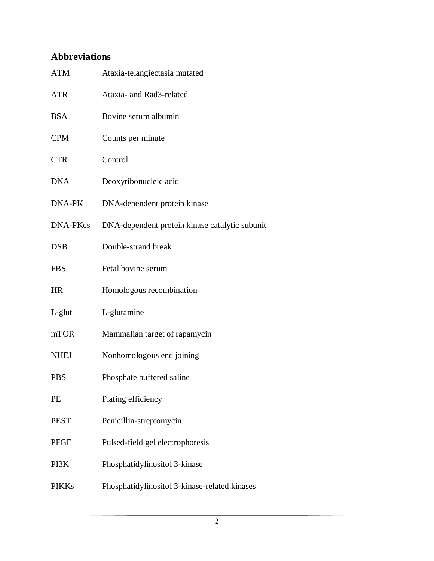# **Abbreviations**

| <b>ATM</b>      | Ataxia-telangiectasia mutated                  |
|-----------------|------------------------------------------------|
| <b>ATR</b>      | Ataxia- and Rad3-related                       |
| <b>BSA</b>      | Bovine serum albumin                           |
| <b>CPM</b>      | Counts per minute                              |
| <b>CTR</b>      | Control                                        |
| <b>DNA</b>      | Deoxyribonucleic acid                          |
| DNA-PK          | DNA-dependent protein kinase                   |
| <b>DNA-PKcs</b> | DNA-dependent protein kinase catalytic subunit |
| <b>DSB</b>      | Double-strand break                            |
| <b>FBS</b>      | Fetal bovine serum                             |
| <b>HR</b>       | Homologous recombination                       |
| $L$ -glut       | L-glutamine                                    |
| mTOR            | Mammalian target of rapamycin                  |
| <b>NHEJ</b>     | Nonhomologous end joining                      |
| <b>PBS</b>      | Phosphate buffered saline                      |
| PE              | Plating efficiency                             |
| <b>PEST</b>     | Penicillin-streptomycin                        |
| <b>PFGE</b>     | Pulsed-field gel electrophoresis               |
| PI3K            | Phosphatidylinositol 3-kinase                  |
| <b>PIKKs</b>    | Phosphatidylinositol 3-kinase-related kinases  |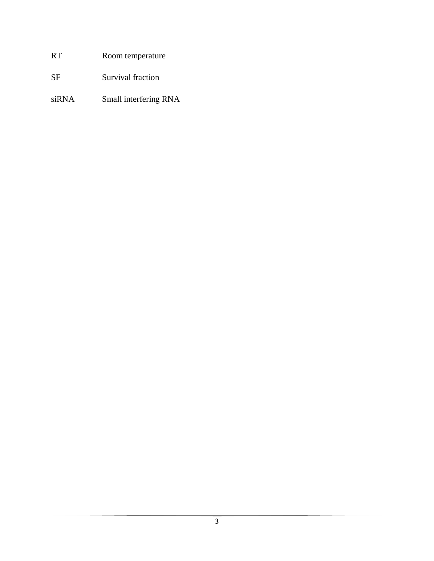# RT Room temperature

SF Survival fraction

siRNA Small interfering RNA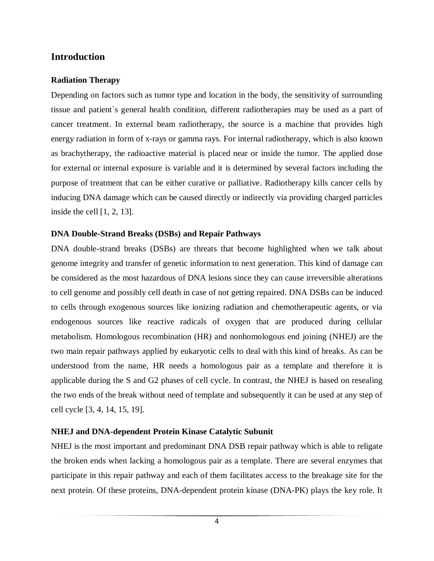# <span id="page-4-0"></span>**Introduction**

#### <span id="page-4-1"></span>**Radiation Therapy**

Depending on factors such as tumor type and location in the body, the sensitivity of surrounding tissue and patient`s general health condition, different radiotherapies may be used as a part of cancer treatment. In external beam radiotherapy, the source is a machine that provides high energy radiation in form of x-rays or gamma rays. For internal radiotherapy, which is also known as brachytherapy, the radioactive material is placed near or inside the tumor. The applied dose for external or internal exposure is variable and it is determined by several factors including the purpose of treatment that can be either curative or palliative. Radiotherapy kills cancer cells by inducing DNA damage which can be caused directly or indirectly via providing charged particles inside the cell [1, 2, 13].

#### <span id="page-4-2"></span>**DNA Double-Strand Breaks (DSBs) and Repair Pathways**

DNA double-strand breaks (DSBs) are threats that become highlighted when we talk about genome integrity and transfer of genetic information to next generation. This kind of damage can be considered as the most hazardous of DNA lesions since they can cause irreversible alterations to cell genome and possibly cell death in case of not getting repaired. DNA DSBs can be induced to cells through exogenous sources like ionizing radiation and chemotherapeutic agents, or via endogenous sources like reactive radicals of oxygen that are produced during cellular metabolism. Homologous recombination (HR) and nonhomologous end joining (NHEJ) are the two main repair pathways applied by eukaryotic cells to deal with this kind of breaks. As can be understood from the name, HR needs a homologous pair as a template and therefore it is applicable during the S and G2 phases of cell cycle. In contrast, the NHEJ is based on resealing the two ends of the break without need of template and subsequently it can be used at any step of cell cycle [3, 4, 14, 15, 19].

### <span id="page-4-3"></span>**NHEJ and DNA-dependent Protein Kinase Catalytic Subunit**

NHEJ is the most important and predominant DNA DSB repair pathway which is able to religate the broken ends when lacking a homologous pair as a template. There are several enzymes that participate in this repair pathway and each of them facilitates access to the breakage site for the next protein. Of these proteins, DNA-dependent protein kinase (DNA-PK) plays the key role. It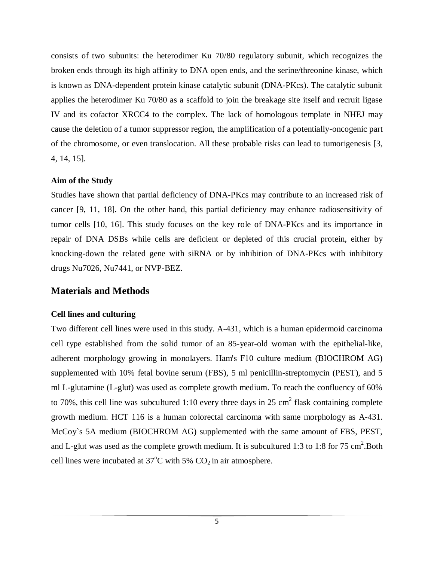consists of two subunits: the heterodimer Ku 70/80 regulatory subunit, which recognizes the broken ends through its high affinity to DNA open ends, and the serine/threonine kinase, which is known as DNA-dependent protein kinase catalytic subunit (DNA-PKcs). The catalytic subunit applies the heterodimer Ku 70/80 as a scaffold to join the breakage site itself and recruit ligase IV and its cofactor XRCC4 to the complex. The lack of homologous template in NHEJ may cause the deletion of a tumor suppressor region, the amplification of a potentially-oncogenic part of the chromosome, or even translocation. All these probable risks can lead to tumorigenesis [3, 4, 14, 15].

#### <span id="page-5-0"></span>**Aim of the Study**

Studies have shown that partial deficiency of DNA-PKcs may contribute to an increased risk of cancer [9, 11, 18]. On the other hand, this partial deficiency may enhance radiosensitivity of tumor cells [10, 16]. This study focuses on the key role of DNA-PKcs and its importance in repair of DNA DSBs while cells are deficient or depleted of this crucial protein, either by knocking-down the related gene with siRNA or by inhibition of DNA-PKcs with inhibitory drugs Nu7026, Nu7441, or NVP-BEZ.

# <span id="page-5-1"></span>**Materials and Methods**

### <span id="page-5-2"></span>**Cell lines and culturing**

Two different cell lines were used in this study. A-431, which is a human epidermoid carcinoma cell type established from the solid tumor of an 85-year-old woman with the epithelial-like, adherent morphology growing in monolayers. Ham's F10 culture medium (BIOCHROM AG) supplemented with 10% fetal bovine serum (FBS), 5 ml penicillin-streptomycin (PEST), and 5 ml L-glutamine (L-glut) was used as complete growth medium. To reach the confluency of 60% to 70%, this cell line was subcultured 1:10 every three days in 25 cm<sup>2</sup> flask containing complete growth medium. HCT 116 is a human colorectal carcinoma with same morphology as A-431. McCoy`s 5A medium (BIOCHROM AG) supplemented with the same amount of FBS, PEST, and L-glut was used as the complete growth medium. It is subcultured 1:3 to 1:8 for 75 cm<sup>2</sup>. Both cell lines were incubated at  $37^{\circ}$ C with 5% CO<sub>2</sub> in air atmosphere.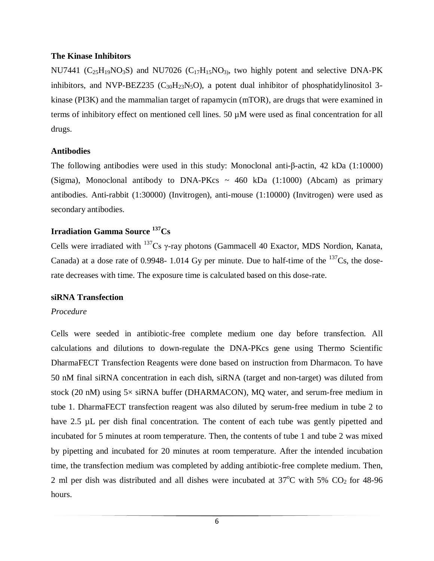#### <span id="page-6-0"></span>**The Kinase Inhibitors**

NU7441 ( $C_{25}H_{19}NO_3S$ ) and NU7026 ( $C_{17}H_{15}NO_3$ ), two highly potent and selective DNA-PK inhibitors, and NVP-BEZ235 ( $C_{30}H_{23}N_5O$ ), a potent dual inhibitor of phosphatidylinositol 3kinase (PI3K) and the mammalian target of rapamycin (mTOR), are drugs that were examined in terms of inhibitory effect on mentioned cell lines. 50 µM were used as final concentration for all drugs.

#### <span id="page-6-1"></span>**Antibodies**

The following antibodies were used in this study: Monoclonal anti-β-actin, 42 kDa (1:10000) (Sigma), Monoclonal antibody to DNA-PKcs  $\sim$  460 kDa (1:1000) (Abcam) as primary antibodies. Anti-rabbit (1:30000) (Invitrogen), anti-mouse (1:10000) (Invitrogen) were used as secondary antibodies.

# <span id="page-6-2"></span>**Irradiation Gamma Source <sup>137</sup>Cs**

Cells were irradiated with  $^{137}Cs$  γ-ray photons (Gammacell 40 Exactor, MDS Nordion, Kanata, Canada) at a dose rate of 0.9948- 1.014 Gy per minute. Due to half-time of the  $137Cs$ , the doserate decreases with time. The exposure time is calculated based on this dose-rate.

#### <span id="page-6-3"></span>**siRNA Transfection**

### *Procedure*

Cells were seeded in antibiotic-free complete medium one day before transfection. All calculations and dilutions to down-regulate the DNA-PKcs gene using Thermo Scientific DharmaFECT Transfection Reagents were done based on instruction from Dharmacon. To have 50 nM final siRNA concentration in each dish, siRNA (target and non-target) was diluted from stock (20 nM) using 5× siRNA buffer (DHARMACON), MQ water, and serum-free medium in tube 1. DharmaFECT transfection reagent was also diluted by serum-free medium in tube 2 to have 2.5 µL per dish final concentration. The content of each tube was gently pipetted and incubated for 5 minutes at room temperature. Then, the contents of tube 1 and tube 2 was mixed by pipetting and incubated for 20 minutes at room temperature. After the intended incubation time, the transfection medium was completed by adding antibiotic-free complete medium. Then, 2 ml per dish was distributed and all dishes were incubated at  $37^{\circ}$ C with 5% CO<sub>2</sub> for 48-96 hours.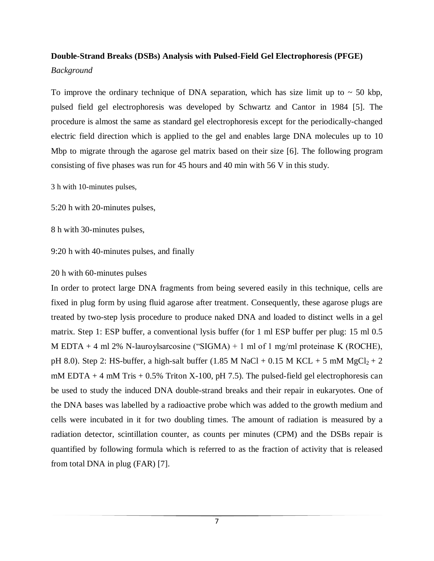# <span id="page-7-0"></span>**Double-Strand Breaks (DSBs) Analysis with Pulsed-Field Gel Electrophoresis (PFGE)**

*Background*

To improve the ordinary technique of DNA separation, which has size limit up to  $\sim$  50 kbp, pulsed field gel electrophoresis was developed by Schwartz and Cantor in 1984 [5]. The procedure is almost the same as standard gel electrophoresis except for the periodically-changed electric field direction which is applied to the gel and enables large DNA molecules up to 10 Mbp to migrate through the agarose gel matrix based on their size [6]. The following program consisting of five phases was run for 45 hours and 40 min with 56 V in this study.

3 h with 10-minutes pulses,

5:20 h with 20-minutes pulses,

8 h with 30-minutes pulses,

9:20 h with 40-minutes pulses, and finally

### 20 h with 60-minutes pulses

In order to protect large DNA fragments from being severed easily in this technique, cells are fixed in plug form by using fluid agarose after treatment. Consequently, these agarose plugs are treated by two-step lysis procedure to produce naked DNA and loaded to distinct wells in a gel matrix. Step 1: ESP buffer, a conventional lysis buffer (for 1 ml ESP buffer per plug: 15 ml 0.5 M EDTA + 4 ml 2% N-lauroylsarcosine ("SIGMA) + 1 ml of 1 mg/ml proteinase K (ROCHE), pH 8.0). Step 2: HS-buffer, a high-salt buffer (1.85 M NaCl + 0.15 M KCL + 5 mM MgCl<sub>2</sub> + 2 mM EDTA  $+$  4 mM Tris  $+$  0.5% Triton X-100, pH 7.5). The pulsed-field gel electrophoresis can be used to study the induced DNA double-strand breaks and their repair in eukaryotes. One of the DNA bases was labelled by a radioactive probe which was added to the growth medium and cells were incubated in it for two doubling times. The amount of radiation is measured by a radiation detector, scintillation counter, as counts per minutes (CPM) and the DSBs repair is quantified by following formula which is referred to as the fraction of activity that is released from total DNA in plug (FAR) [7].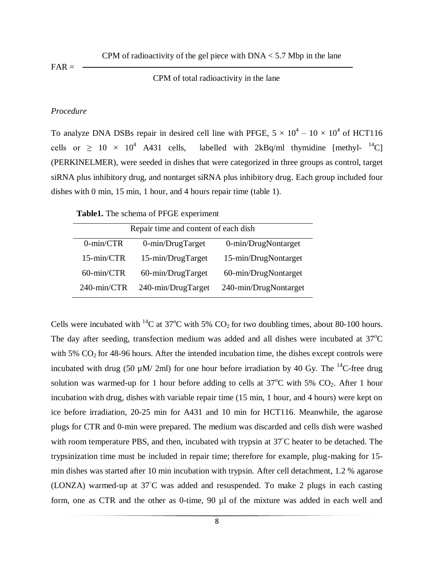CPM of radioactivity of the gel piece with  $DNA < 5.7$  Mbp in the lane

 $FAR =$ 

#### CPM of total radioactivity in the lane

#### *Procedure*

To analyze DNA DSBs repair in desired cell line with PFGE,  $5 \times 10^4 - 10 \times 10^4$  of HCT116 cells or  $\geq 10 \times 10^4$  A431 cells, labelled with 2kBq/ml thymidine [methyl-  $^{14}$ C] (PERKINELMER), were seeded in dishes that were categorized in three groups as control, target siRNA plus inhibitory drug, and nontarget siRNA plus inhibitory drug. Each group included four dishes with 0 min, 15 min, 1 hour, and 4 hours repair time (table 1).

#### **Table1.** The schema of PFGE experiment

| Repair time and content of each dish |                      |                       |  |  |
|--------------------------------------|----------------------|-----------------------|--|--|
| $0$ -min/CTR                         | 0-min/DrugTarget     | 0-min/DrugNontarget   |  |  |
| 15-min/CTR                           | 15-min/DrugTarget    | 15-min/DrugNontarget  |  |  |
| 60-min/CTR                           | $60$ -min/DrugTarget | 60-min/DrugNontarget  |  |  |
| 240-min/CTR                          | 240-min/DrugTarget   | 240-min/DrugNontarget |  |  |

Cells were incubated with <sup>14</sup>C at 37<sup>o</sup>C with 5% CO<sub>2</sub> for two doubling times, about 80-100 hours. The day after seeding, transfection medium was added and all dishes were incubated at  $37^{\circ}$ C with 5%  $CO<sub>2</sub>$  for 48-96 hours. After the intended incubation time, the dishes except controls were incubated with drug (50  $\mu$ M/ 2ml) for one hour before irradiation by 40 Gy. The <sup>14</sup>C-free drug solution was warmed-up for 1 hour before adding to cells at  $37^{\circ}$ C with 5% CO<sub>2</sub>. After 1 hour incubation with drug, dishes with variable repair time (15 min, 1 hour, and 4 hours) were kept on ice before irradiation, 20-25 min for A431 and 10 min for HCT116. Meanwhile, the agarose plugs for CTR and 0-min were prepared. The medium was discarded and cells dish were washed with room temperature PBS, and then, incubated with trypsin at 37<sup>°</sup>C heater to be detached. The trypsinization time must be included in repair time; therefore for example, plug-making for 15 min dishes was started after 10 min incubation with trypsin. After cell detachment, 1.2 % agarose (LONZA) warmed-up at 37◦C was added and resuspended. To make 2 plugs in each casting form, one as CTR and the other as 0-time, 90 µl of the mixture was added in each well and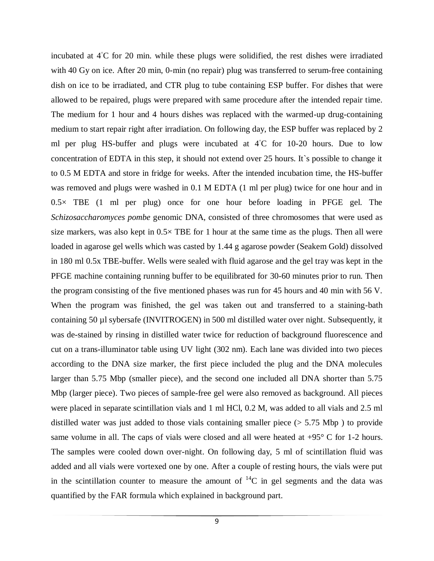incubated at 4◦C for 20 min. while these plugs were solidified, the rest dishes were irradiated with 40 Gy on ice. After 20 min, 0-min (no repair) plug was transferred to serum-free containing dish on ice to be irradiated, and CTR plug to tube containing ESP buffer. For dishes that were allowed to be repaired, plugs were prepared with same procedure after the intended repair time. The medium for 1 hour and 4 hours dishes was replaced with the warmed-up drug-containing medium to start repair right after irradiation. On following day, the ESP buffer was replaced by 2 ml per plug HS-buffer and plugs were incubated at 4<sup>°</sup>C for 10-20 hours. Due to low concentration of EDTA in this step, it should not extend over 25 hours. It`s possible to change it to 0.5 M EDTA and store in fridge for weeks. After the intended incubation time, the HS-buffer was removed and plugs were washed in 0.1 M EDTA (1 ml per plug) twice for one hour and in  $0.5\times$  TBE (1 ml per plug) once for one hour before loading in PFGE gel. The *Schizosaccharomyces pombe* genomic DNA, consisted of three chromosomes that were used as size markers, was also kept in  $0.5 \times$  TBE for 1 hour at the same time as the plugs. Then all were loaded in agarose gel wells which was casted by 1.44 g agarose powder (Seakem Gold) dissolved in 180 ml 0.5x TBE-buffer. Wells were sealed with fluid agarose and the gel tray was kept in the PFGE machine containing running buffer to be equilibrated for 30-60 minutes prior to run. Then the program consisting of the five mentioned phases was run for 45 hours and 40 min with 56 V. When the program was finished, the gel was taken out and transferred to a staining-bath containing 50 µl sybersafe (INVITROGEN) in 500 ml distilled water over night. Subsequently, it was de-stained by rinsing in distilled water twice for reduction of background fluorescence and cut on a trans-illuminator table using UV light (302 nm). Each lane was divided into two pieces according to the DNA size marker, the first piece included the plug and the DNA molecules larger than 5.75 Mbp (smaller piece), and the second one included all DNA shorter than 5.75 Mbp (larger piece). Two pieces of sample-free gel were also removed as background. All pieces were placed in separate scintillation vials and 1 ml HCl, 0.2 M, was added to all vials and 2.5 ml distilled water was just added to those vials containing smaller piece (> 5.75 Mbp ) to provide same volume in all. The caps of vials were closed and all were heated at  $+95^{\circ}$  C for 1-2 hours. The samples were cooled down over-night. On following day, 5 ml of scintillation fluid was added and all vials were vortexed one by one. After a couple of resting hours, the vials were put in the scintillation counter to measure the amount of  ${}^{14}C$  in gel segments and the data was quantified by the FAR formula which explained in background part.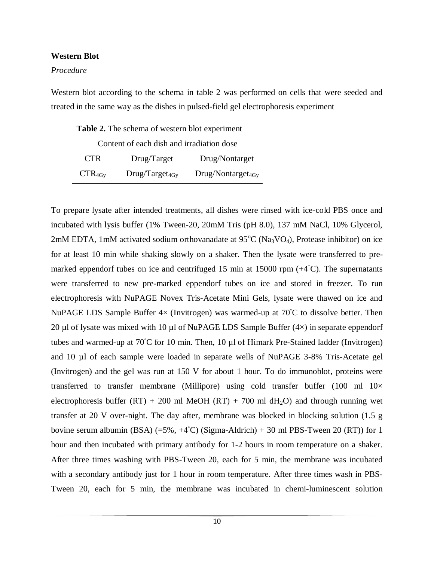#### <span id="page-10-0"></span>**Western Blot**

#### *Procedure*

Western blot according to the schema in table 2 was performed on cells that were seeded and treated in the same way as the dishes in pulsed-field gel electrophoresis experiment

**Table 2.** The schema of western blot experiment

| Content of each dish and irradiation dose |                     |                        |  |
|-------------------------------------------|---------------------|------------------------|--|
| CTR <sup></sup>                           | Drug/Target         | Drug/Nontarget         |  |
| $CTR_{4Gy}$                               | $Drug/Target_{4Gv}$ | $Drug/Nontarget_{4Gv}$ |  |

To prepare lysate after intended treatments, all dishes were rinsed with ice-cold PBS once and incubated with lysis buffer (1% Tween-20, 20mM Tris (pH 8.0), 137 mM NaCl, 10% Glycerol, 2mM EDTA, 1mM activated sodium orthovanadate at  $95^{\circ}C$  (Na<sub>3</sub>VO<sub>4</sub>), Protease inhibitor) on ice for at least 10 min while shaking slowly on a shaker. Then the lysate were transferred to premarked eppendorf tubes on ice and centrifuged 15 min at 15000 rpm  $(+4^{\circ}C)$ . The supernatants were transferred to new pre-marked eppendorf tubes on ice and stored in freezer. To run electrophoresis with NuPAGE Novex Tris-Acetate Mini Gels, lysate were thawed on ice and NuPAGE LDS Sample Buffer  $4\times$  (Invitrogen) was warmed-up at 70<sup>°</sup>C to dissolve better. Then 20 µl of lysate was mixed with 10 µl of NuPAGE LDS Sample Buffer  $(4\times)$  in separate eppendorf tubes and warmed-up at 70◦C for 10 min. Then, 10 µl of Himark Pre-Stained ladder (Invitrogen) and 10 µl of each sample were loaded in separate wells of NuPAGE 3-8% Tris-Acetate gel (Invitrogen) and the gel was run at 150 V for about 1 hour. To do immunoblot, proteins were transferred to transfer membrane (Millipore) using cold transfer buffer (100 ml  $10\times$ electrophoresis buffer  $(RT) + 200$  ml MeOH  $(RT) + 700$  ml dH<sub>2</sub>O) and through running wet transfer at 20 V over-night. The day after, membrane was blocked in blocking solution (1.5 g bovine serum albumin (BSA)  $(=5\%, +4\degree C)$  (Sigma-Aldrich) + 30 ml PBS-Tween 20 (RT)) for 1 hour and then incubated with primary antibody for 1-2 hours in room temperature on a shaker. After three times washing with PBS-Tween 20, each for 5 min, the membrane was incubated with a secondary antibody just for 1 hour in room temperature. After three times wash in PBS-Tween 20, each for 5 min, the membrane was incubated in chemi-luminescent solution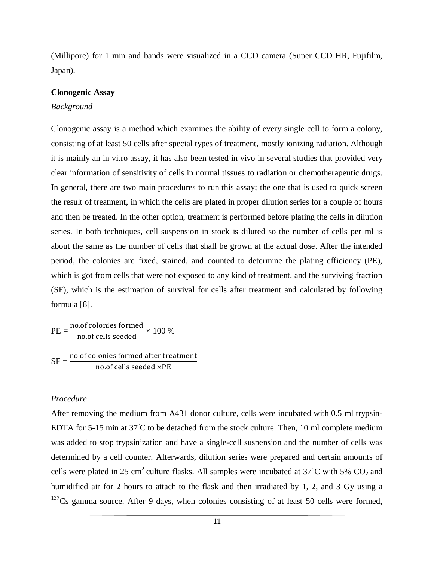(Millipore) for 1 min and bands were visualized in a CCD camera (Super CCD HR, Fujifilm, Japan).

#### <span id="page-11-0"></span>**Clonogenic Assay**

#### *Background*

Clonogenic assay is a method which examines the ability of every single cell to form a colony, consisting of at least 50 cells after special types of treatment, mostly ionizing radiation. Although it is mainly an in vitro assay, it has also been tested in vivo in several studies that provided very clear information of sensitivity of cells in normal tissues to radiation or chemotherapeutic drugs. In general, there are two main procedures to run this assay; the one that is used to quick screen the result of treatment, in which the cells are plated in proper dilution series for a couple of hours and then be treated. In the other option, treatment is performed before plating the cells in dilution series. In both techniques, cell suspension in stock is diluted so the number of cells per ml is about the same as the number of cells that shall be grown at the actual dose. After the intended period, the colonies are fixed, stained, and counted to determine the plating efficiency (PE), which is got from cells that were not exposed to any kind of treatment, and the surviving fraction (SF), which is the estimation of survival for cells after treatment and calculated by following formula [8].

$$
PE = \frac{\text{no.of colonies formed}}{\text{no.of cells seeded}} \times 100 \%
$$
  
SF = 
$$
\frac{\text{no.of colonies formed after treatment}}{\text{no.of cells seeded} \times PE}
$$

#### *Procedure*

After removing the medium from A431 donor culture, cells were incubated with 0.5 ml trypsin-EDTA for 5-15 min at 37◦C to be detached from the stock culture. Then, 10 ml complete medium was added to stop trypsinization and have a single-cell suspension and the number of cells was determined by a cell counter. Afterwards, dilution series were prepared and certain amounts of cells were plated in 25 cm<sup>2</sup> culture flasks. All samples were incubated at 37<sup>o</sup>C with 5% CO<sub>2</sub> and humidified air for 2 hours to attach to the flask and then irradiated by 1, 2, and 3 Gy using a  $137Cs$  gamma source. After 9 days, when colonies consisting of at least 50 cells were formed,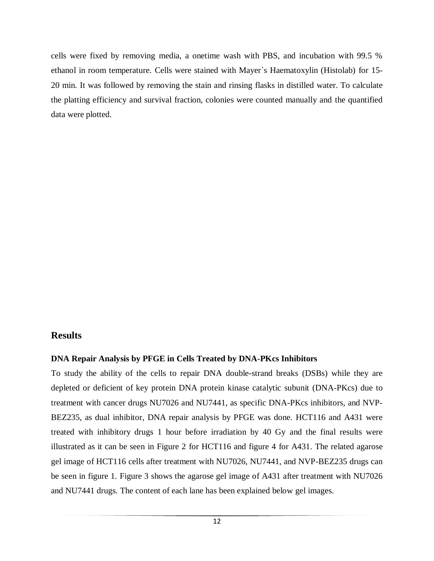cells were fixed by removing media, a onetime wash with PBS, and incubation with 99.5 % ethanol in room temperature. Cells were stained with Mayer`s Haematoxylin (Histolab) for 15- 20 min. It was followed by removing the stain and rinsing flasks in distilled water. To calculate the platting efficiency and survival fraction, colonies were counted manually and the quantified data were plotted.

# <span id="page-12-0"></span>**Results**

#### <span id="page-12-1"></span>**DNA Repair Analysis by PFGE in Cells Treated by DNA-PKcs Inhibitors**

To study the ability of the cells to repair DNA double-strand breaks (DSBs) while they are depleted or deficient of key protein DNA protein kinase catalytic subunit (DNA-PKcs) due to treatment with cancer drugs NU7026 and NU7441, as specific DNA-PKcs inhibitors, and NVP-BEZ235, as dual inhibitor, DNA repair analysis by PFGE was done. HCT116 and A431 were treated with inhibitory drugs 1 hour before irradiation by 40 Gy and the final results were illustrated as it can be seen in Figure 2 for HCT116 and figure 4 for A431. The related agarose gel image of HCT116 cells after treatment with NU7026, NU7441, and NVP-BEZ235 drugs can be seen in figure 1. Figure 3 shows the agarose gel image of A431 after treatment with NU7026 and NU7441 drugs. The content of each lane has been explained below gel images.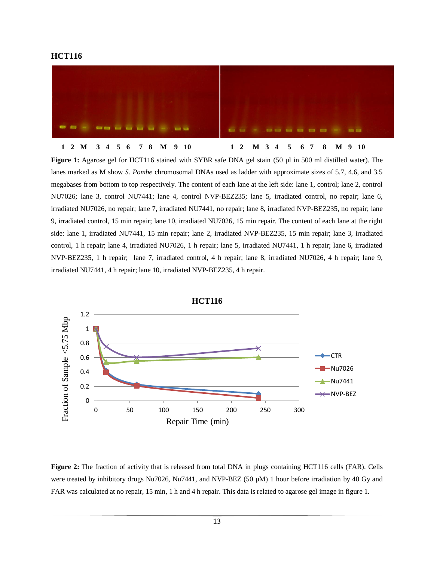



**Figure 1:** Agarose gel for HCT116 stained with SYBR safe DNA gel stain (50 µl in 500 ml distilled water). The lanes marked as M show *S. Pombe* chromosomal DNAs used as ladder with approximate sizes of 5.7, 4.6, and 3.5 megabases from bottom to top respectively. The content of each lane at the left side: lane 1, control; lane 2, control NU7026; lane 3, control NU7441; lane 4, control NVP-BEZ235; lane 5, irradiated control, no repair; lane 6, irradiated NU7026, no repair; lane 7, irradiated NU7441, no repair; lane 8, irradiated NVP-BEZ235, no repair; lane 9, irradiated control, 15 min repair; lane 10, irradiated NU7026, 15 min repair. The content of each lane at the right side: lane 1, irradiated NU7441, 15 min repair; lane 2, irradiated NVP-BEZ235, 15 min repair; lane 3, irradiated control, 1 h repair; lane 4, irradiated NU7026, 1 h repair; lane 5, irradiated NU7441, 1 h repair; lane 6, irradiated NVP-BEZ235, 1 h repair; lane 7, irradiated control, 4 h repair; lane 8, irradiated NU7026, 4 h repair; lane 9, irradiated NU7441, 4 h repair; lane 10, irradiated NVP-BEZ235, 4 h repair.



**Figure 2:** The fraction of activity that is released from total DNA in plugs containing HCT116 cells (FAR). Cells were treated by inhibitory drugs Nu7026, Nu7441, and NVP-BEZ (50 µM) 1 hour before irradiation by 40 Gy and FAR was calculated at no repair, 15 min, 1 h and 4 h repair. This data is related to agarose gel image in figure 1.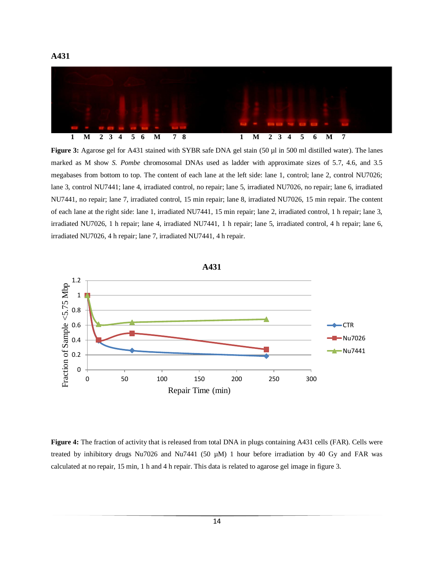

**Figure 3:** Agarose gel for A431 stained with SYBR safe DNA gel stain (50 µl in 500 ml distilled water). The lanes marked as M show *S. Pombe* chromosomal DNAs used as ladder with approximate sizes of 5.7, 4.6, and 3.5 megabases from bottom to top. The content of each lane at the left side: lane 1, control; lane 2, control NU7026; lane 3, control NU7441; lane 4, irradiated control, no repair; lane 5, irradiated NU7026, no repair; lane 6, irradiated NU7441, no repair; lane 7, irradiated control, 15 min repair; lane 8, irradiated NU7026, 15 min repair. The content of each lane at the right side: lane 1, irradiated NU7441, 15 min repair; lane 2, irradiated control, 1 h repair; lane 3, irradiated NU7026, 1 h repair; lane 4, irradiated NU7441, 1 h repair; lane 5, irradiated control, 4 h repair; lane 6, irradiated NU7026, 4 h repair; lane 7, irradiated NU7441, 4 h repair.



**Figure 4:** The fraction of activity that is released from total DNA in plugs containing A431 cells (FAR). Cells were treated by inhibitory drugs Nu7026 and Nu7441 (50 µM) 1 hour before irradiation by 40 Gy and FAR was calculated at no repair, 15 min, 1 h and 4 h repair. This data is related to agarose gel image in figure 3.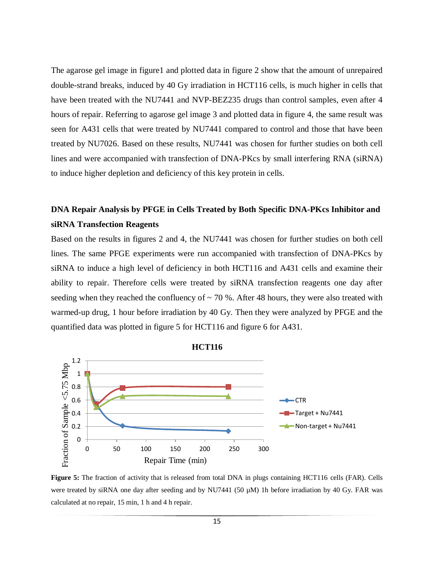The agarose gel image in figure1 and plotted data in figure 2 show that the amount of unrepaired double-strand breaks, induced by 40 Gy irradiation in HCT116 cells, is much higher in cells that have been treated with the NU7441 and NVP-BEZ235 drugs than control samples, even after 4 hours of repair. Referring to agarose gel image 3 and plotted data in figure 4, the same result was seen for A431 cells that were treated by NU7441 compared to control and those that have been treated by NU7026. Based on these results, NU7441 was chosen for further studies on both cell lines and were accompanied with transfection of DNA-PKcs by small interfering RNA (siRNA) to induce higher depletion and deficiency of this key protein in cells.

# <span id="page-15-0"></span>**DNA Repair Analysis by PFGE in Cells Treated by Both Specific DNA-PKcs Inhibitor and siRNA Transfection Reagents**

Based on the results in figures 2 and 4, the NU7441 was chosen for further studies on both cell lines. The same PFGE experiments were run accompanied with transfection of DNA-PKcs by siRNA to induce a high level of deficiency in both HCT116 and A431 cells and examine their ability to repair. Therefore cells were treated by siRNA transfection reagents one day after seeding when they reached the confluency of  $\sim$  70 %. After 48 hours, they were also treated with warmed-up drug, 1 hour before irradiation by 40 Gy. Then they were analyzed by PFGE and the quantified data was plotted in figure 5 for HCT116 and figure 6 for A431.



**Figure 5:** The fraction of activity that is released from total DNA in plugs containing HCT116 cells (FAR). Cells were treated by siRNA one day after seeding and by NU7441 (50 µM) 1h before irradiation by 40 Gy. FAR was calculated at no repair, 15 min, 1 h and 4 h repair.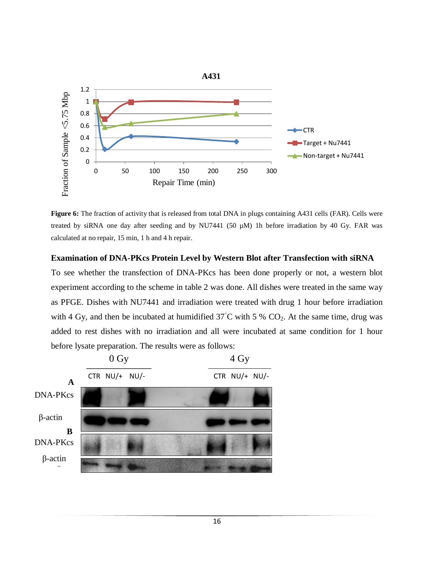

**Figure 6:** The fraction of activity that is released from total DNA in plugs containing A431 cells (FAR). Cells were treated by siRNA one day after seeding and by NU7441 (50 µM) 1h before irradiation by 40 Gy. FAR was calculated at no repair, 15 min, 1 h and 4 h repair.

#### <span id="page-16-0"></span>**Examination of DNA-PKcs Protein Level by Western Blot after Transfection with siRNA**

To see whether the transfection of DNA-PKcs has been done properly or not, a western blot experiment according to the scheme in table 2 was done. All dishes were treated in the same way as PFGE. Dishes with NU7441 and irradiation were treated with drug 1 hour before irradiation with 4 Gy, and then be incubated at humidified  $37^{\circ}$ C with 5 % CO<sub>2</sub>. At the same time, drug was added to rest dishes with no irradiation and all were incubated at same condition for 1 hour before lysate preparation. The results were as follows:

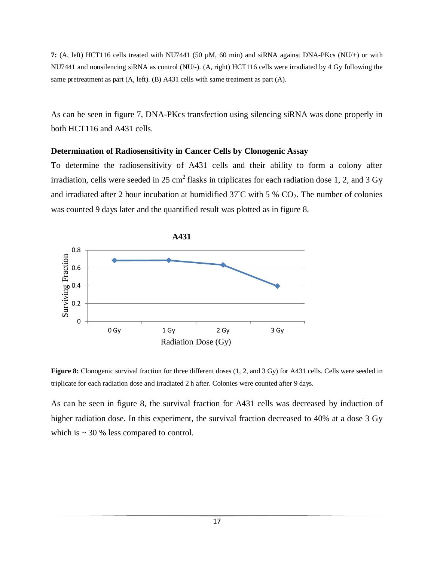**7:** (A, left) HCT116 cells treated with NU7441 (50 µM, 60 min) and siRNA against DNA-PKcs (NU/+) or with NU7441 and nonsilencing siRNA as control (NU/-). (A, right) HCT116 cells were irradiated by 4 Gy following the same pretreatment as part (A, left). (B) A431 cells with same treatment as part (A).

As can be seen in figure 7, DNA-PKcs transfection using silencing siRNA was done properly in both HCT116 and A431 cells.

#### <span id="page-17-0"></span>**Determination of Radiosensitivity in Cancer Cells by Clonogenic Assay**

To determine the radiosensitivity of A431 cells and their ability to form a colony after irradiation, cells were seeded in 25 cm<sup>2</sup> flasks in triplicates for each radiation dose 1, 2, and 3 Gy and irradiated after 2 hour incubation at humidified  $37^{\circ}$ C with 5 % CO<sub>2</sub>. The number of colonies was counted 9 days later and the quantified result was plotted as in figure 8.



**Figure 8:** Clonogenic survival fraction for three different doses  $(1, 2, and 3 Gy)$  for A431 cells. Cells were seeded in triplicate for each radiation dose and irradiated 2 h after. Colonies were counted after 9 days.

As can be seen in figure 8, the survival fraction for A431 cells was decreased by induction of higher radiation dose. In this experiment, the survival fraction decreased to 40% at a dose 3 Gy which is  $\sim$  30 % less compared to control.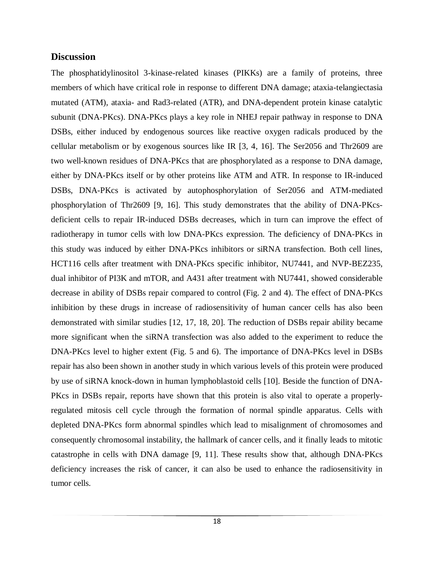#### <span id="page-18-0"></span>**Discussion**

The phosphatidylinositol 3-kinase-related kinases (PIKKs) are a family of proteins, three members of which have critical role in response to different DNA damage; ataxia-telangiectasia mutated (ATM), ataxia- and Rad3-related (ATR), and DNA-dependent protein kinase catalytic subunit (DNA-PKcs). DNA-PKcs plays a key role in NHEJ repair pathway in response to DNA DSBs, either induced by endogenous sources like reactive oxygen radicals produced by the cellular metabolism or by exogenous sources like IR [3, 4, 16]. The Ser2056 and Thr2609 are two well-known residues of DNA-PKcs that are phosphorylated as a response to DNA damage, either by DNA-PKcs itself or by other proteins like ATM and ATR. In response to IR-induced DSBs, DNA-PKcs is activated by autophosphorylation of Ser2056 and ATM-mediated phosphorylation of Thr2609 [9, 16]. This study demonstrates that the ability of DNA-PKcsdeficient cells to repair IR-induced DSBs decreases, which in turn can improve the effect of radiotherapy in tumor cells with low DNA-PKcs expression. The deficiency of DNA-PKcs in this study was induced by either DNA-PKcs inhibitors or siRNA transfection. Both cell lines, HCT116 cells after treatment with DNA-PKcs specific inhibitor, NU7441, and NVP-BEZ235, dual inhibitor of PI3K and mTOR, and A431 after treatment with NU7441, showed considerable decrease in ability of DSBs repair compared to control (Fig. 2 and 4). The effect of DNA-PKcs inhibition by these drugs in increase of radiosensitivity of human cancer cells has also been demonstrated with similar studies [12, 17, 18, 20]. The reduction of DSBs repair ability became more significant when the siRNA transfection was also added to the experiment to reduce the DNA-PKcs level to higher extent (Fig. 5 and 6). The importance of DNA-PKcs level in DSBs repair has also been shown in another study in which various levels of this protein were produced by use of siRNA knock-down in human lymphoblastoid cells [10]. Beside the function of DNA-PKcs in DSBs repair, reports have shown that this protein is also vital to operate a properlyregulated mitosis cell cycle through the formation of normal spindle apparatus. Cells with depleted DNA-PKcs form abnormal spindles which lead to misalignment of chromosomes and consequently chromosomal instability, the hallmark of cancer cells, and it finally leads to mitotic catastrophe in cells with DNA damage [9, 11]. These results show that, although DNA-PKcs deficiency increases the risk of cancer, it can also be used to enhance the radiosensitivity in tumor cells.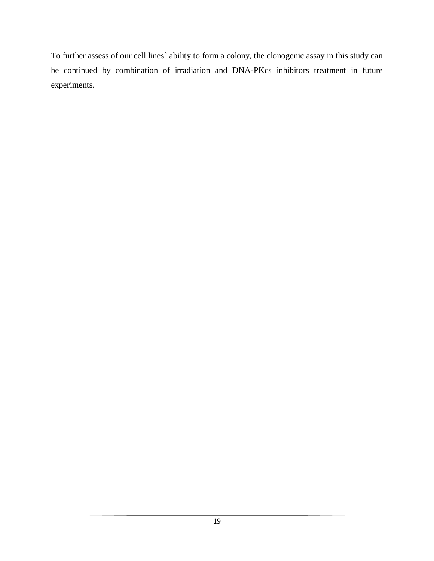To further assess of our cell lines` ability to form a colony, the clonogenic assay in this study can be continued by combination of irradiation and DNA-PKcs inhibitors treatment in future experiments.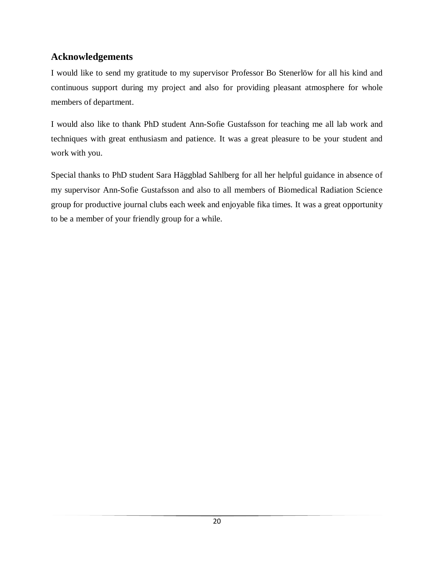# <span id="page-20-0"></span>**Acknowledgements**

I would like to send my gratitude to my supervisor Professor Bo Stenerlöw for all his kind and continuous support during my project and also for providing pleasant atmosphere for whole members of department.

I would also like to thank PhD student Ann-Sofie Gustafsson for teaching me all lab work and techniques with great enthusiasm and patience. It was a great pleasure to be your student and work with you.

Special thanks to PhD student Sara Häggblad Sahlberg for all her helpful guidance in absence of my supervisor Ann-Sofie Gustafsson and also to all members of Biomedical Radiation Science group for productive journal clubs each week and enjoyable fika times. It was a great opportunity to be a member of your friendly group for a while.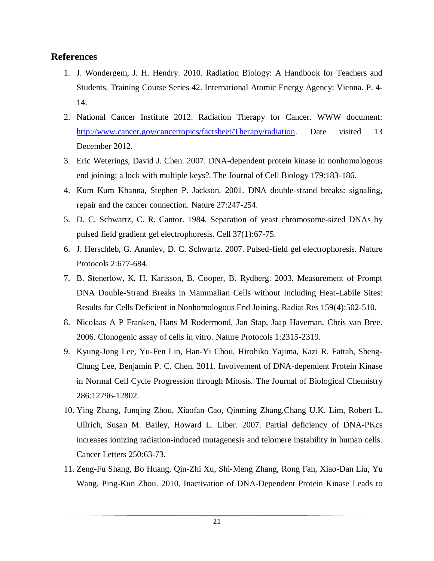# <span id="page-21-0"></span>**References**

- 1. J. Wondergem, J. H. Hendry. 2010. Radiation Biology: A Handbook for Teachers and Students. Training Course Series 42. International Atomic Energy Agency: Vienna. P. 4- 14.
- 2. National Cancer Institute 2012. Radiation Therapy for Cancer. WWW document: [http://www.cancer.gov/cancertopics/factsheet/Therapy/radiation.](http://www.cancer.gov/cancertopics/factsheet/Therapy/radiation) Date visited 13 December 2012.
- 3. Eric Weterings, David J. Chen. 2007. DNA-dependent protein kinase in nonhomologous end joining: a lock with multiple keys?. The Journal of Cell Biology 179:183-186.
- 4. Kum Kum Khanna, Stephen P. Jackson. 2001. DNA double-strand breaks: signaling, repair and the cancer connection. Nature 27:247-254.
- 5. D. C. Schwartz, C. R. Cantor. 1984. Separation of yeast chromosome-sized DNAs by pulsed field gradient gel electrophoresis. Cell 37(1):67-75.
- 6. J. Herschleb, G. Ananiev, D. C. Schwartz. 2007. Pulsed-field gel electrophoresis. Nature Protocols 2:677-684.
- 7. B. Stenerlöw, K. H. Karlsson, B. Cooper, B. Rydberg. 2003. Measurement of Prompt DNA Double-Strand Breaks in Mammalian Cells without Including Heat-Labile Sites: Results for Cells Deficient in Nonhomologous End Joining. Radiat Res 159(4):502-510.
- 8. Nicolaas A P Franken, Hans M Rodermond, Jan Stap, Jaap Haveman, Chris van Bree. 2006. Clonogenic assay of cells in vitro. Nature Protocols 1:2315-2319.
- 9. Kyung-Jong Lee, Yu-Fen Lin, Han-Yi Chou, Hirohiko Yajima, Kazi R. Fattah, Sheng-Chung Lee, Benjamin P. C. Chen. 2011. Involvement of DNA-dependent Protein Kinase in Normal Cell Cycle Progression through Mitosis. The Journal of Biological Chemistry 286:12796-12802.
- 10. Ying Zhang, Junqing Zhou, Xiaofan Cao, Qinming Zhang,Chang U.K. Lim, Robert L. Ullrich, Susan M. Bailey, Howard L. Liber. 2007. Partial deficiency of DNA-PKcs increases ionizing radiation-induced mutagenesis and telomere instability in human cells. Cancer Letters 250:63-73.
- 11. Zeng-Fu Shang, Bo Huang, Qin-Zhi Xu, Shi-Meng Zhang, Rong Fan, Xiao-Dan Liu, Yu Wang, Ping-Kun Zhou. 2010. Inactivation of DNA-Dependent Protein Kinase Leads to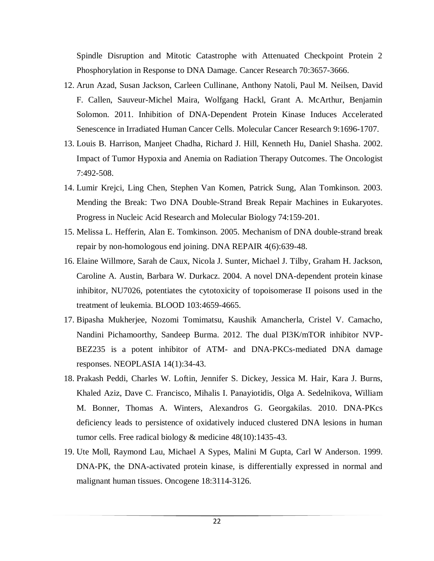Spindle Disruption and Mitotic Catastrophe with Attenuated Checkpoint Protein 2 Phosphorylation in Response to DNA Damage. Cancer Research 70:3657-3666.

- 12. Arun Azad, Susan Jackson, Carleen Cullinane, Anthony Natoli, Paul M. Neilsen, David F. Callen, Sauveur-Michel Maira, Wolfgang Hackl, Grant A. McArthur, Benjamin Solomon. 2011. Inhibition of DNA-Dependent Protein Kinase Induces Accelerated Senescence in Irradiated Human Cancer Cells. Molecular Cancer Research 9:1696-1707.
- 13. [Louis B. Harrison,](http://theoncologist.alphamedpress.org/search?author1=Louis+B.+Harrison&sortspec=date&submit=Submit) [Manjeet Chadha,](http://theoncologist.alphamedpress.org/search?author1=Manjeet+Chadha&sortspec=date&submit=Submit) [Richard J. Hill,](http://theoncologist.alphamedpress.org/search?author1=Richard+J.+Hill&sortspec=date&submit=Submit) [Kenneth Hu,](http://theoncologist.alphamedpress.org/search?author1=Kenneth+Hu&sortspec=date&submit=Submit) [Daniel Shasha.](http://theoncologist.alphamedpress.org/search?author1=Daniel+Shasha&sortspec=date&submit=Submit) 2002. Impact of Tumor Hypoxia and Anemia on Radiation Therapy Outcomes. The Oncologist 7:492-508.
- 14. [Lumir Krejci, Ling Chen, Stephen Van Komen, Patrick Sung, Alan Tomkinson.](http://www.sciencedirect.com/science/article/pii/S0079660303010134) 2003. Mending the Break: Two DNA Double-Strand Break Repair Machines in Eukaryotes. [Progress in Nucleic Acid Research and Molecular Biology](http://www.sciencedirect.com/science/bookseries/00796603) 74:159-201.
- 15. Melissa L. Hefferin, Alan E. Tomkinson. 2005. Mechanism of DNA double-strand break repair by non-homologous end joining. DNA REPAIR 4(6):639-48.
- 16. Elaine Willmore, Sarah de Caux, Nicola J. Sunter, Michael J. Tilby, Graham H. Jackson, Caroline A. Austin, Barbara W. Durkacz. 2004. A novel DNA-dependent protein kinase inhibitor, NU7026, potentiates the cytotoxicity of topoisomerase II poisons used in the treatment of leukemia. BLOOD 103:4659-4665.
- 17. Bipasha Mukherjee, Nozomi Tomimatsu, Kaushik Amancherla, Cristel V. Camacho, Nandini Pichamoorthy, Sandeep Burma. 2012. The dual PI3K/mTOR inhibitor NVP-BEZ235 is a potent inhibitor of ATM- and DNA-PKCs-mediated DNA damage responses. NEOPLASIA 14(1):34-43.
- 18. [Prakash Peddi,](http://www.researchgate.net/researcher/14317689_Prakash_Peddi/) [Charles W. Loftin,](http://www.researchgate.net/researcher/35884396_Charles_W_Loftin/) [Jennifer S. Dickey,](http://www.researchgate.net/researcher/39356084_Jennifer_S_Dickey/) [Jessica M. Hair,](http://www.researchgate.net/researcher/39793932_Jessica_M_Hair/) [Kara J. Burns,](http://www.researchgate.net/researcher/36055974_Kara_J_Burns/) [Khaled Aziz,](http://www.researchgate.net/researcher/38512399_Khaled_Aziz/) [Dave C. Francisco,](http://www.researchgate.net/researcher/38906476_Dave_C_Francisco/) [Mihalis I. Panayiotidis,](http://www.researchgate.net/researcher/38933658_Mihalis_I_Panayiotidis/) [Olga A. Sedelnikova,](http://www.researchgate.net/researcher/38682237_Olga_A_Sedelnikova/) [William](http://www.researchgate.net/researcher/38452678_William_M_Bonner/)  [M. Bonner,](http://www.researchgate.net/researcher/38452678_William_M_Bonner/) [Thomas A. Winters,](http://www.researchgate.net/researcher/38417869_Thomas_A_Winters/) [Alexandros G. Georgakilas.](http://www.researchgate.net/researcher/36227808_Alexandros_G_Georgakilas/) 2010. DNA-PKcs deficiency leads to persistence of oxidatively induced clustered DNA lesions in human tumor cells. [Free radical biology & medicine](http://www.researchgate.net/journal/1873-4596_Free_radical_biology_medicine) 48(10):1435-43.
- 19. Ute Moll, Raymond Lau, Michael A Sypes, Malini M Gupta, Carl W Anderson. 1999. DNA-PK, the DNA-activated protein kinase, is differentially expressed in normal and malignant human tissues. Oncogene 18:3114-3126.